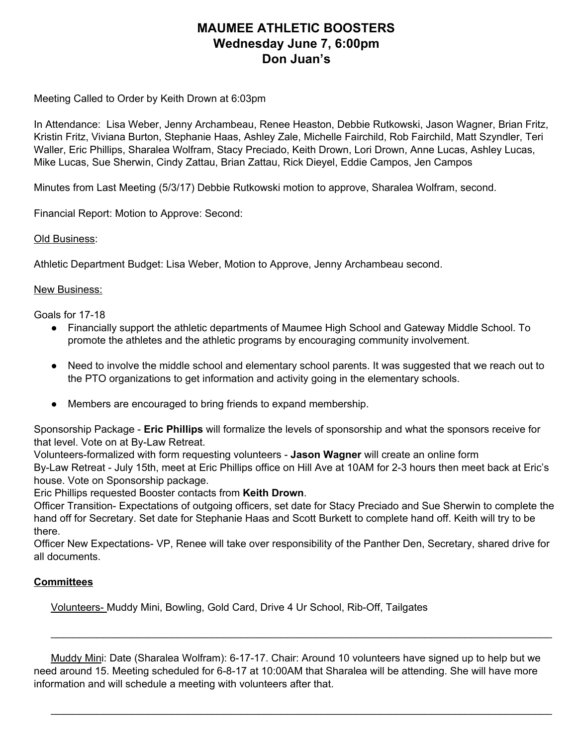## **MAUMEE ATHLETIC BOOSTERS Wednesday June 7, 6:00pm Don Juan's**

Meeting Called to Order by Keith Drown at 6:03pm

In Attendance: Lisa Weber, Jenny Archambeau, Renee Heaston, Debbie Rutkowski, Jason Wagner, Brian Fritz, Kristin Fritz, Viviana Burton, Stephanie Haas, Ashley Zale, Michelle Fairchild, Rob Fairchild, Matt Szyndler, Teri Waller, Eric Phillips, Sharalea Wolfram, Stacy Preciado, Keith Drown, Lori Drown, Anne Lucas, Ashley Lucas, Mike Lucas, Sue Sherwin, Cindy Zattau, Brian Zattau, Rick Dieyel, Eddie Campos, Jen Campos

Minutes from Last Meeting (5/3/17) Debbie Rutkowski motion to approve, Sharalea Wolfram, second.

Financial Report: Motion to Approve: Second:

### Old Business:

Athletic Department Budget: Lisa Weber, Motion to Approve, Jenny Archambeau second.

### New Business:

Goals for 17-18

- Financially support the athletic departments of Maumee High School and Gateway Middle School. To promote the athletes and the athletic programs by encouraging community involvement.
- Need to involve the middle school and elementary school parents. It was suggested that we reach out to the PTO organizations to get information and activity going in the elementary schools.
- Members are encouraged to bring friends to expand membership.

Sponsorship Package - **Eric Phillips** will formalize the levels of sponsorship and what the sponsors receive for that level. Vote on at By-Law Retreat.

Volunteers-formalized with form requesting volunteers - **Jason Wagner** will create an online form By-Law Retreat - July 15th, meet at Eric Phillips office on Hill Ave at 10AM for 2-3 hours then meet back at Eric's house. Vote on Sponsorship package.

Eric Phillips requested Booster contacts from **Keith Drown**.

Officer Transition- Expectations of outgoing officers, set date for Stacy Preciado and Sue Sherwin to complete the hand off for Secretary. Set date for Stephanie Haas and Scott Burkett to complete hand off. Keith will try to be there.

Officer New Expectations- VP, Renee will take over responsibility of the Panther Den, Secretary, shared drive for all documents.

## **Committees**

Volunteers- Muddy Mini, Bowling, Gold Card, Drive 4 Ur School, Rib-Off, Tailgates

Muddy Mini: Date (Sharalea Wolfram): 6-17-17. Chair: Around 10 volunteers have signed up to help but we need around 15. Meeting scheduled for 6-8-17 at 10:00AM that Sharalea will be attending. She will have more information and will schedule a meeting with volunteers after that.

\_\_\_\_\_\_\_\_\_\_\_\_\_\_\_\_\_\_\_\_\_\_\_\_\_\_\_\_\_\_\_\_\_\_\_\_\_\_\_\_\_\_\_\_\_\_\_\_\_\_\_\_\_\_\_\_\_\_\_\_\_\_\_\_\_\_\_\_\_\_\_\_\_\_\_\_\_\_\_\_\_\_\_\_\_\_\_

\_\_\_\_\_\_\_\_\_\_\_\_\_\_\_\_\_\_\_\_\_\_\_\_\_\_\_\_\_\_\_\_\_\_\_\_\_\_\_\_\_\_\_\_\_\_\_\_\_\_\_\_\_\_\_\_\_\_\_\_\_\_\_\_\_\_\_\_\_\_\_\_\_\_\_\_\_\_\_\_\_\_\_\_\_\_\_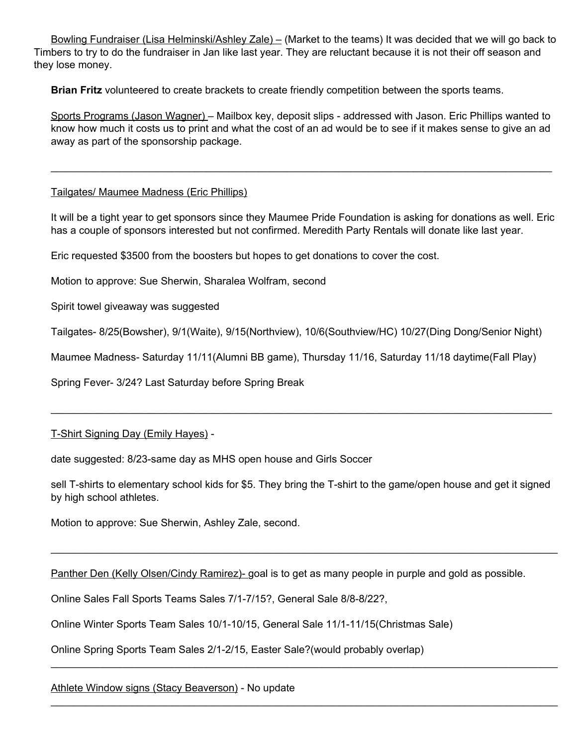Bowling Fundraiser (Lisa Helminski/Ashley Zale) – (Market to the teams) It was decided that we will go back to Timbers to try to do the fundraiser in Jan like last year. They are reluctant because it is not their off season and they lose money.

**Brian Fritz** volunteered to create brackets to create friendly competition between the sports teams.

Sports Programs (Jason Wagner) – Mailbox key, deposit slips - addressed with Jason. Eric Phillips wanted to know how much it costs us to print and what the cost of an ad would be to see if it makes sense to give an ad away as part of the sponsorship package.

\_\_\_\_\_\_\_\_\_\_\_\_\_\_\_\_\_\_\_\_\_\_\_\_\_\_\_\_\_\_\_\_\_\_\_\_\_\_\_\_\_\_\_\_\_\_\_\_\_\_\_\_\_\_\_\_\_\_\_\_\_\_\_\_\_\_\_\_\_\_\_\_\_\_\_\_\_\_\_\_\_\_\_\_\_\_\_

## Tailgates/ Maumee Madness (Eric Phillips)

It will be a tight year to get sponsors since they Maumee Pride Foundation is asking for donations as well. Eric has a couple of sponsors interested but not confirmed. Meredith Party Rentals will donate like last year.

Eric requested \$3500 from the boosters but hopes to get donations to cover the cost.

Motion to approve: Sue Sherwin, Sharalea Wolfram, second

Spirit towel giveaway was suggested

Tailgates- 8/25(Bowsher), 9/1(Waite), 9/15(Northview), 10/6(Southview/HC) 10/27(Ding Dong/Senior Night)

Maumee Madness- Saturday 11/11(Alumni BB game), Thursday 11/16, Saturday 11/18 daytime(Fall Play)

Spring Fever- 3/24? Last Saturday before Spring Break

T-Shirt Signing Day (Emily Hayes) -

date suggested: 8/23-same day as MHS open house and Girls Soccer

sell T-shirts to elementary school kids for \$5. They bring the T-shirt to the game/open house and get it signed by high school athletes.

\_\_\_\_\_\_\_\_\_\_\_\_\_\_\_\_\_\_\_\_\_\_\_\_\_\_\_\_\_\_\_\_\_\_\_\_\_\_\_\_\_\_\_\_\_\_\_\_\_\_\_\_\_\_\_\_\_\_\_\_\_\_\_\_\_\_\_\_\_\_\_\_\_\_\_\_\_\_\_\_\_\_\_\_\_\_\_\_

\_\_\_\_\_\_\_\_\_\_\_\_\_\_\_\_\_\_\_\_\_\_\_\_\_\_\_\_\_\_\_\_\_\_\_\_\_\_\_\_\_\_\_\_\_\_\_\_\_\_\_\_\_\_\_\_\_\_\_\_\_\_\_\_\_\_\_\_\_\_\_\_\_\_\_\_\_\_\_\_\_\_\_\_\_\_\_\_

\_\_\_\_\_\_\_\_\_\_\_\_\_\_\_\_\_\_\_\_\_\_\_\_\_\_\_\_\_\_\_\_\_\_\_\_\_\_\_\_\_\_\_\_\_\_\_\_\_\_\_\_\_\_\_\_\_\_\_\_\_\_\_\_\_\_\_\_\_\_\_\_\_\_\_\_\_\_\_\_\_\_\_\_\_\_\_\_

\_\_\_\_\_\_\_\_\_\_\_\_\_\_\_\_\_\_\_\_\_\_\_\_\_\_\_\_\_\_\_\_\_\_\_\_\_\_\_\_\_\_\_\_\_\_\_\_\_\_\_\_\_\_\_\_\_\_\_\_\_\_\_\_\_\_\_\_\_\_\_\_\_\_\_\_\_\_\_\_\_\_\_\_\_\_\_

Motion to approve: Sue Sherwin, Ashley Zale, second.

Panther Den (Kelly Olsen/Cindy Ramirez)- goal is to get as many people in purple and gold as possible.

Online Sales Fall Sports Teams Sales 7/1-7/15?, General Sale 8/8-8/22?,

Online Winter Sports Team Sales 10/1-10/15, General Sale 11/1-11/15(Christmas Sale)

Online Spring Sports Team Sales 2/1-2/15, Easter Sale?(would probably overlap)

Athlete Window signs (Stacy Beaverson) - No update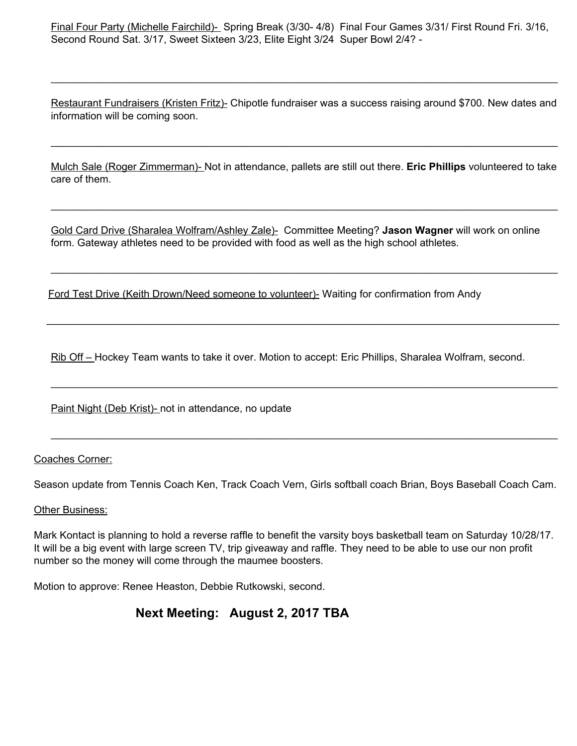Final Four Party (Michelle Fairchild)- Spring Break (3/30- 4/8) Final Four Games 3/31/ First Round Fri. 3/16, Second Round Sat. 3/17, Sweet Sixteen 3/23, Elite Eight 3/24 Super Bowl 2/4? -

Restaurant Fundraisers (Kristen Fritz)- Chipotle fundraiser was a success raising around \$700. New dates and information will be coming soon.

\_\_\_\_\_\_\_\_\_\_\_\_\_\_\_\_\_\_\_\_\_\_\_\_\_\_\_\_\_\_\_\_\_\_\_\_\_\_\_\_\_\_\_\_\_\_\_\_\_\_\_\_\_\_\_\_\_\_\_\_\_\_\_\_\_\_\_\_\_\_\_\_\_\_\_\_\_\_\_\_\_\_\_\_\_\_\_\_

Mulch Sale (Roger Zimmerman)- Not in attendance, pallets are still out there. **Eric Phillips** volunteered to take care of them.

\_\_\_\_\_\_\_\_\_\_\_\_\_\_\_\_\_\_\_\_\_\_\_\_\_\_\_\_\_\_\_\_\_\_\_\_\_\_\_\_\_\_\_\_\_\_\_\_\_\_\_\_\_\_\_\_\_\_\_\_\_\_\_\_\_\_\_\_\_\_\_\_\_\_\_\_\_\_\_\_\_\_\_\_\_\_\_\_

\_\_\_\_\_\_\_\_\_\_\_\_\_\_\_\_\_\_\_\_\_\_\_\_\_\_\_\_\_\_\_\_\_\_\_\_\_\_\_\_\_\_\_\_\_\_\_\_\_\_\_\_\_\_\_\_\_\_\_\_\_\_\_\_\_\_\_\_\_\_\_\_\_\_\_\_\_\_\_\_\_\_\_\_\_\_\_\_

\_\_\_\_\_\_\_\_\_\_\_\_\_\_\_\_\_\_\_\_\_\_\_\_\_\_\_\_\_\_\_\_\_\_\_\_\_\_\_\_\_\_\_\_\_\_\_\_\_\_\_\_\_\_\_\_\_\_\_\_\_\_\_\_\_\_\_\_\_\_\_\_\_\_\_\_\_\_\_\_\_\_\_\_\_\_\_\_\_

\_\_\_\_\_\_\_\_\_\_\_\_\_\_\_\_\_\_\_\_\_\_\_\_\_\_\_\_\_\_\_\_\_\_\_\_\_\_\_\_\_\_\_\_\_\_\_\_\_\_\_\_\_\_\_\_\_\_\_\_\_\_\_\_\_\_\_\_\_\_\_\_\_\_\_\_\_\_\_\_\_\_\_\_\_\_\_\_

\_\_\_\_\_\_\_\_\_\_\_\_\_\_\_\_\_\_\_\_\_\_\_\_\_\_\_\_\_\_\_\_\_\_\_\_\_\_\_\_\_\_\_\_\_\_\_\_\_\_\_\_\_\_\_\_\_\_\_\_\_\_\_\_\_\_\_\_\_\_\_\_\_\_\_\_\_\_\_\_\_\_\_\_\_\_\_\_

\_\_\_\_\_\_\_\_\_\_\_\_\_\_\_\_\_\_\_\_\_\_\_\_\_\_\_\_\_\_\_\_\_\_\_\_\_\_\_\_\_\_\_\_\_\_\_\_\_\_\_\_\_\_\_\_\_\_\_\_\_\_\_\_\_\_\_\_\_\_\_\_\_\_\_\_\_\_\_\_\_\_\_\_\_\_\_\_

Gold Card Drive (Sharalea Wolfram/Ashley Zale)- Committee Meeting? **Jason Wagner** will work on online form. Gateway athletes need to be provided with food as well as the high school athletes.

Ford Test Drive (Keith Drown/Need someone to volunteer)- Waiting for confirmation from Andy

Rib Off – Hockey Team wants to take it over. Motion to accept: Eric Phillips, Sharalea Wolfram, second.

Paint Night (Deb Krist)- not in attendance, no update

### Coaches Corner:

Season update from Tennis Coach Ken, Track Coach Vern, Girls softball coach Brian, Boys Baseball Coach Cam.

### Other Business:

Mark Kontact is planning to hold a reverse raffle to benefit the varsity boys basketball team on Saturday 10/28/17. It will be a big event with large screen TV, trip giveaway and raffle. They need to be able to use our non profit number so the money will come through the maumee boosters.

Motion to approve: Renee Heaston, Debbie Rutkowski, second.

# **Next Meeting: August 2, 2017 TBA**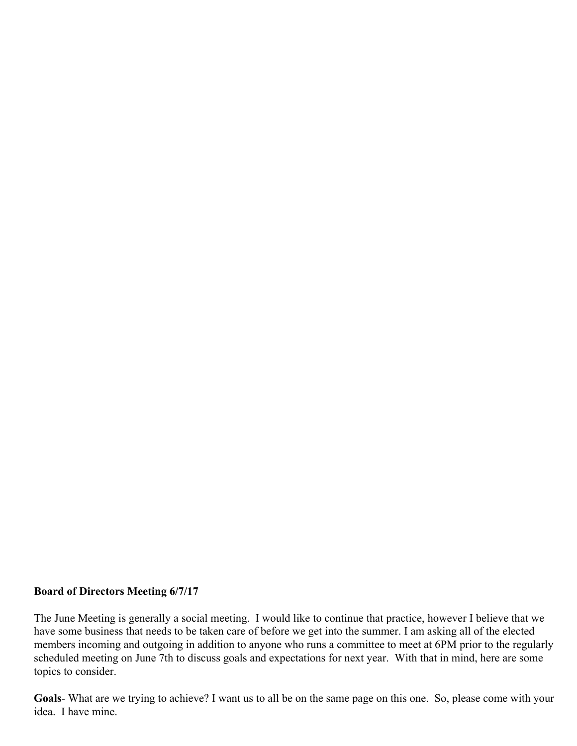## **Board of Directors Meeting 6/7/17**

The June Meeting is generally a social meeting. I would like to continue that practice, however I believe that we have some business that needs to be taken care of before we get into the summer. I am asking all of the elected members incoming and outgoing in addition to anyone who runs a committee to meet at 6PM prior to the regularly scheduled meeting on June 7th to discuss goals and expectations for next year. With that in mind, here are some topics to consider.

**Goals**- What are we trying to achieve? I want us to all be on the same page on this one. So, please come with your idea. I have mine.